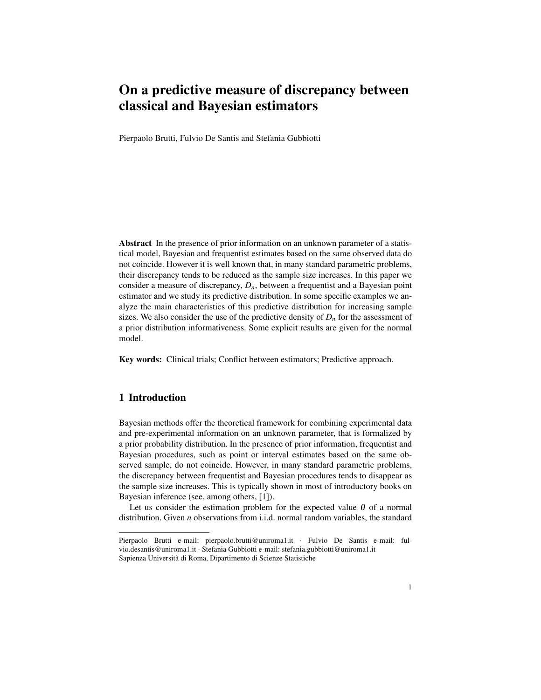# On a predictive measure of discrepancy between classical and Bayesian estimators

Pierpaolo Brutti, Fulvio De Santis and Stefania Gubbiotti

Abstract In the presence of prior information on an unknown parameter of a statistical model, Bayesian and frequentist estimates based on the same observed data do not coincide. However it is well known that, in many standard parametric problems, their discrepancy tends to be reduced as the sample size increases. In this paper we consider a measure of discrepancy, *Dn*, between a frequentist and a Bayesian point estimator and we study its predictive distribution. In some specific examples we analyze the main characteristics of this predictive distribution for increasing sample sizes. We also consider the use of the predictive density of  $D_n$  for the assessment of a prior distribution informativeness. Some explicit results are given for the normal model.

Key words: Clinical trials; Conflict between estimators; Predictive approach.

## 1 Introduction

Bayesian methods offer the theoretical framework for combining experimental data and pre-experimental information on an unknown parameter, that is formalized by a prior probability distribution. In the presence of prior information, frequentist and Bayesian procedures, such as point or interval estimates based on the same observed sample, do not coincide. However, in many standard parametric problems, the discrepancy between frequentist and Bayesian procedures tends to disappear as the sample size increases. This is typically shown in most of introductory books on Bayesian inference (see, among others, [1]).

Let us consider the estimation problem for the expected value  $\theta$  of a normal distribution. Given *n* observations from i.i.d. normal random variables, the standard

Pierpaolo Brutti e-mail: pierpaolo.brutti@uniroma1.it · Fulvio De Santis e-mail: fulvio.desantis@uniroma1.it · Stefania Gubbiotti e-mail: stefania.gubbiotti@uniroma1.it Sapienza Universita di Roma, Dipartimento di Scienze Statistiche `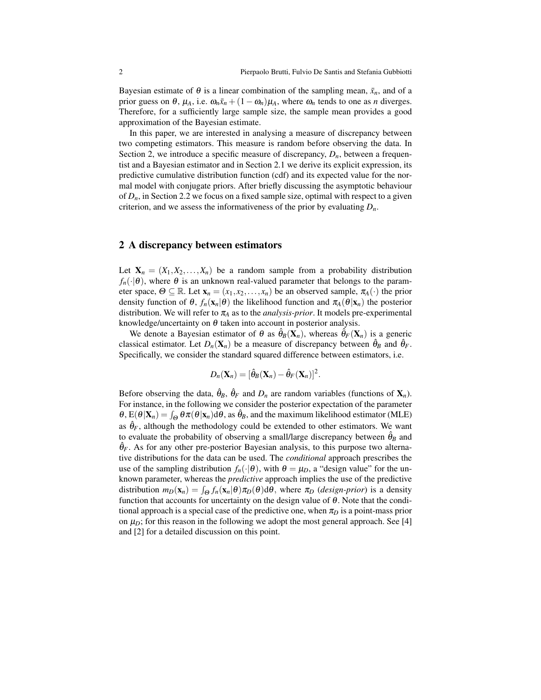Bayesian estimate of  $\theta$  is a linear combination of the sampling mean,  $\bar{x}_n$ , and of a prior guess on  $\theta$ ,  $\mu_A$ , i.e.  $\omega_n \bar{x}_n + (1 - \omega_n)\mu_A$ , where  $\omega_n$  tends to one as *n* diverges. Therefore, for a sufficiently large sample size, the sample mean provides a good approximation of the Bayesian estimate.

In this paper, we are interested in analysing a measure of discrepancy between two competing estimators. This measure is random before observing the data. In Section 2, we introduce a specific measure of discrepancy,  $D_n$ , between a frequentist and a Bayesian estimator and in Section 2.1 we derive its explicit expression, its predictive cumulative distribution function (cdf) and its expected value for the normal model with conjugate priors. After briefly discussing the asymptotic behaviour of  $D_n$ , in Section 2.2 we focus on a fixed sample size, optimal with respect to a given criterion, and we assess the informativeness of the prior by evaluating  $D_n$ .

### 2 A discrepancy between estimators

Let  $X_n = (X_1, X_2, \ldots, X_n)$  be a random sample from a probability distribution  $f_n(\cdot|\theta)$ , where  $\theta$  is an unknown real-valued parameter that belongs to the parameter space,  $\Theta \subseteq \mathbb{R}$ . Let  $\mathbf{x}_n = (x_1, x_2, \dots, x_n)$  be an observed sample,  $\pi_A(\cdot)$  the prior density function of  $\theta$ ,  $f_n(\mathbf{x}_n|\theta)$  the likelihood function and  $\pi_A(\theta|\mathbf{x}_n)$  the posterior distribution. We will refer to  $\pi_A$  as to the *analysis-prior*. It models pre-experimental knowledge/uncertainty on  $\theta$  taken into account in posterior analysis.

We denote a Bayesian estimator of  $\theta$  as  $\hat{\theta}_B(\mathbf{X}_n)$ , whereas  $\hat{\theta}_F(\mathbf{X}_n)$  is a generic classical estimator. Let  $D_n(\mathbf{X}_n)$  be a measure of discrepancy between  $\hat{\theta}_B$  and  $\hat{\theta}_F$ . Specifically, we consider the standard squared difference between estimators, i.e.

$$
D_n(\mathbf{X}_n) = [\hat{\theta}_B(\mathbf{X}_n) - \hat{\theta}_F(\mathbf{X}_n)]^2.
$$

Before observing the data,  $\hat{\theta}_B$ ,  $\hat{\theta}_F$  and  $D_n$  are random variables (functions of  $\mathbf{X}_n$ ). For instance, in the following we consider the posterior expectation of the parameter  $\theta$ ,  $E(\theta|X_n) = \int_{\Theta} \theta \pi(\theta|x_n) d\theta$ , as  $\hat{\theta}_B$ , and the maximum likelihood estimator (MLE) as  $\hat{\theta}_F$ , although the methodology could be extended to other estimators. We want to evaluate the probability of observing a small/large discrepancy between  $\hat{\theta}_B$  and  $\hat{\theta}_F$ . As for any other pre-posterior Bayesian analysis, to this purpose two alternative distributions for the data can be used. The *conditional* approach prescribes the use of the sampling distribution  $f_n(\cdot|\theta)$ , with  $\theta = \mu_D$ , a "design value" for the unknown parameter, whereas the *predictive* approach implies the use of the predictive distribution  $m_D(\mathbf{x}_n) = \int_{\Theta} f_n(\mathbf{x}_n | \theta) \pi_D(\theta) d\theta$ , where  $\pi_D$  (*design-prior*) is a density function that accounts for uncertainty on the design value of  $\theta$ . Note that the conditional approach is a special case of the predictive one, when  $\pi_D$  is a point-mass prior on  $\mu_D$ ; for this reason in the following we adopt the most general approach. See [4] and [2] for a detailed discussion on this point.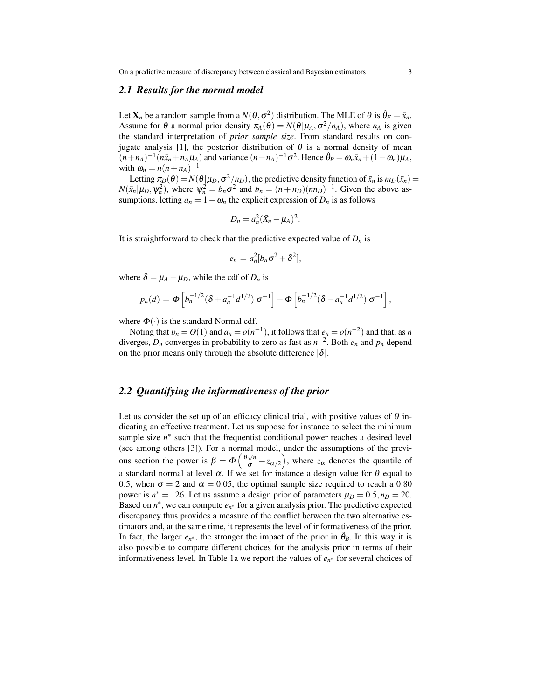On a predictive measure of discrepancy between classical and Bayesian estimators 3

#### *2.1 Results for the normal model*

Let  $\mathbf{X}_n$  be a random sample from a  $N(\theta, \sigma^2)$  distribution. The MLE of  $\theta$  is  $\hat{\theta}_F = \bar{x}_n$ . Assume for  $\theta$  a normal prior density  $\pi_A(\theta) = N(\theta | \mu_A, \sigma^2 / n_A)$ , where  $n_A$  is given the standard interpretation of *prior sample size*. From standard results on conjugate analysis [1], the posterior distribution of  $\theta$  is a normal density of mean  $(n+n_A)^{-1}(n\bar{x}_n+n_A\mu_A)$  and variance  $(n+n_A)^{-1}\sigma^2$ . Hence  $\hat{\theta}_B = \omega_n\bar{x}_n + (1-\omega_n)\mu_A$ , with  $\omega_n = n(n + n_A)^{-1}$ .

Letting  $\pi_D(\theta) = N(\theta | \mu_D, \sigma^2/n_D)$ , the predictive density function of  $\bar{x}_n$  is  $m_D(\bar{x}_n)$  =  $N(\bar{x}_n|\mu_D, \psi_n^2)$ , where  $\psi_n^2 = b_n \sigma^2$  and  $b_n = (n + n_D)(nn_D)^{-1}$ . Given the above assumptions, letting  $a_n = 1 - \omega_n$  the explicit expression of  $D_n$  is as follows

$$
D_n = a_n^2 (\bar{X}_n - \mu_A)^2.
$$

It is straightforward to check that the predictive expected value of  $D_n$  is

$$
e_n = a_n^2 [b_n \sigma^2 + \delta^2],
$$

where  $\delta = \mu_A - \mu_D$ , while the cdf of  $D_n$  is

$$
p_n(d) = \Phi\left[b_n^{-1/2}(\delta + a_n^{-1}d^{1/2})\,\sigma^{-1}\right] - \Phi\left[b_n^{-1/2}(\delta - a_n^{-1}d^{1/2})\,\sigma^{-1}\right],
$$

where  $\Phi(\cdot)$  is the standard Normal cdf.

Noting that  $b_n = O(1)$  and  $a_n = o(n^{-1})$ , it follows that  $e_n = o(n^{-2})$  and that, as *n* diverges,  $D_n$  converges in probability to zero as fast as  $n^{-2}$ . Both  $e_n$  and  $p_n$  depend on the prior means only through the absolute difference  $|\delta|$ .

#### *2.2 Quantifying the informativeness of the prior*

Let us consider the set up of an efficacy clinical trial, with positive values of  $\theta$  indicating an effective treatment. Let us suppose for instance to select the minimum sample size  $n^*$  such that the frequentist conditional power reaches a desired level (see among others [3]). For a normal model, under the assumptions of the previous section the power is  $β = Φ\left(\frac{θ\sqrt{n}}{σ} + z\alpha/2\right)$ , where  $zα$  denotes the quantile of a standard normal at level  $\alpha$ . If we set for instance a design value for θ equal to 0.5, when  $\sigma = 2$  and  $\alpha = 0.05$ , the optimal sample size required to reach a 0.80 power is  $n^* = 126$ . Let us assume a design prior of parameters  $\mu_D = 0.5, n_D = 20$ . Based on  $n^*$ , we can compute  $e_{n^*}$  for a given analysis prior. The predictive expected discrepancy thus provides a measure of the conflict between the two alternative estimators and, at the same time, it represents the level of informativeness of the prior. In fact, the larger  $e_n^*$ , the stronger the impact of the prior in  $\hat{\theta}_B$ . In this way it is also possible to compare different choices for the analysis prior in terms of their informativeness level. In Table 1a we report the values of *e<sup>n</sup>* <sup>∗</sup> for several choices of